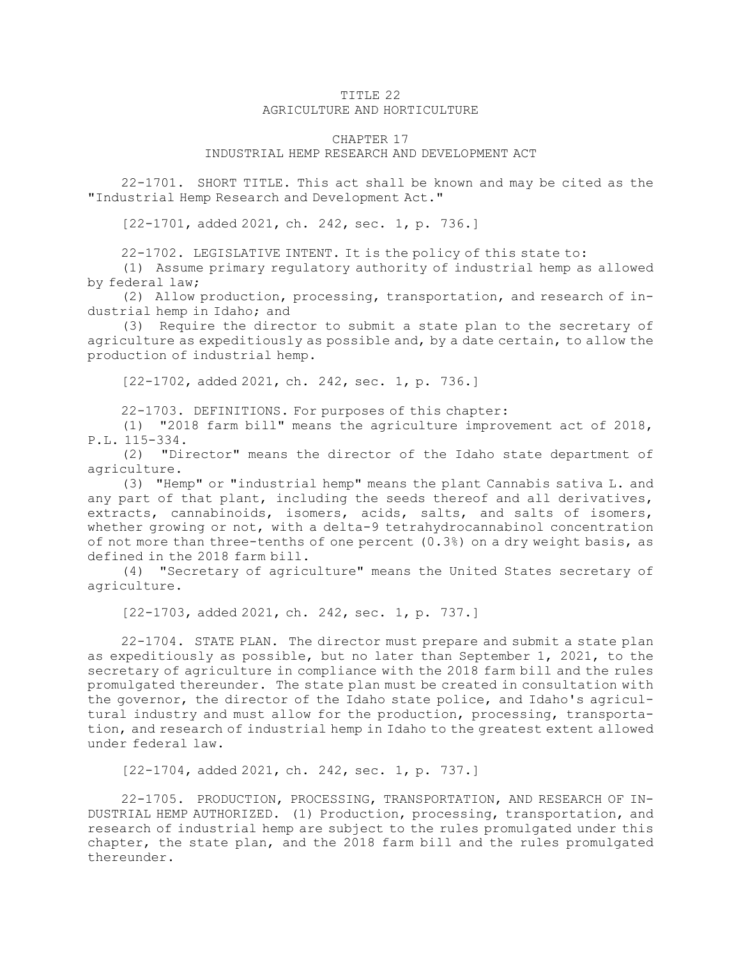## TITLE 22 AGRICULTURE AND HORTICULTURE

## CHAPTER 17

## INDUSTRIAL HEMP RESEARCH AND DEVELOPMENT ACT

22-1701. SHORT TITLE. This act shall be known and may be cited as the "Industrial Hemp Research and Development Act."

[22-1701, added 2021, ch. 242, sec. 1, p. 736.]

22-1702. LEGISLATIVE INTENT. It is the policy of this state to:

(1) Assume primary regulatory authority of industrial hemp as allowed by federal law;

(2) Allow production, processing, transportation, and research of industrial hemp in Idaho; and

(3) Require the director to submit <sup>a</sup> state plan to the secretary of agriculture as expeditiously as possible and, by <sup>a</sup> date certain, to allow the production of industrial hemp.

[22-1702, added 2021, ch. 242, sec. 1, p. 736.]

22-1703. DEFINITIONS. For purposes of this chapter:

(1) "2018 farm bill" means the agriculture improvement act of 2018, P.L. 115-334.

(2) "Director" means the director of the Idaho state department of agriculture.

(3) "Hemp" or "industrial hemp" means the plant Cannabis sativa L. and any part of that plant, including the seeds thereof and all derivatives, extracts, cannabinoids, isomers, acids, salts, and salts of isomers, whether growing or not, with <sup>a</sup> delta-9 tetrahydrocannabinol concentration of not more than three-tenths of one percent (0.3%) on <sup>a</sup> dry weight basis, as defined in the 2018 farm bill.

(4) "Secretary of agriculture" means the United States secretary of agriculture.

[22-1703, added 2021, ch. 242, sec. 1, p. 737.]

22-1704. STATE PLAN. The director must prepare and submit <sup>a</sup> state plan as expeditiously as possible, but no later than September 1, 2021, to the secretary of agriculture in compliance with the 2018 farm bill and the rules promulgated thereunder. The state plan must be created in consultation with the governor, the director of the Idaho state police, and Idaho's agricultural industry and must allow for the production, processing, transportation, and research of industrial hemp in Idaho to the greatest extent allowed under federal law.

[22-1704, added 2021, ch. 242, sec. 1, p. 737.]

22-1705. PRODUCTION, PROCESSING, TRANSPORTATION, AND RESEARCH OF IN-DUSTRIAL HEMP AUTHORIZED. (1) Production, processing, transportation, and research of industrial hemp are subject to the rules promulgated under this chapter, the state plan, and the 2018 farm bill and the rules promulgated thereunder.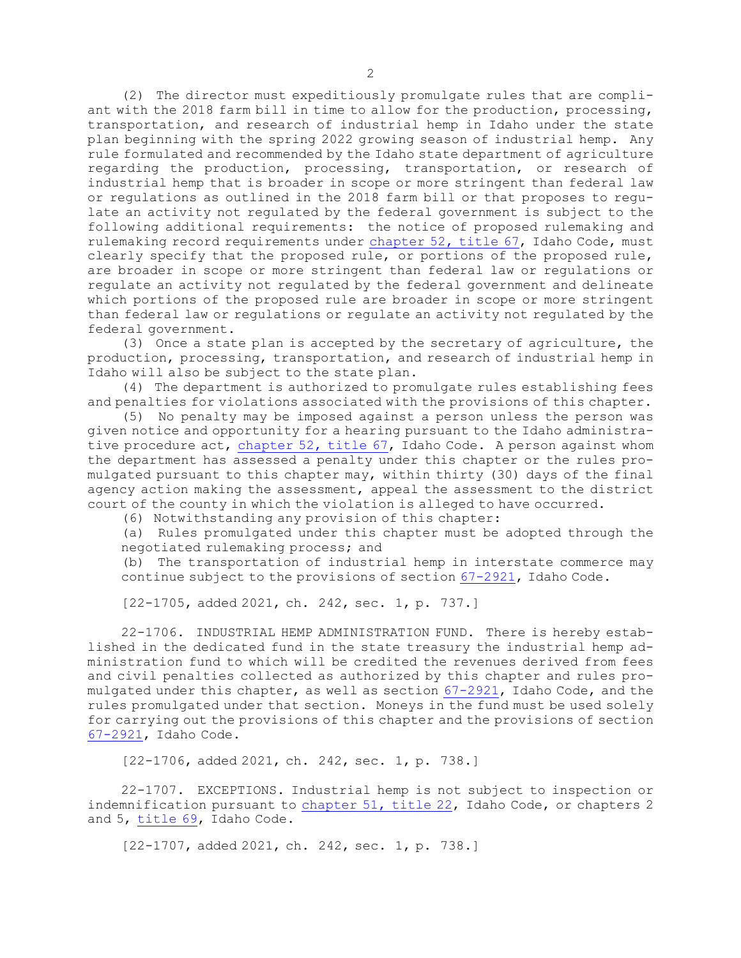(2) The director must expeditiously promulgate rules that are compliant with the 2018 farm bill in time to allow for the production, processing, transportation, and research of industrial hemp in Idaho under the state plan beginning with the spring 2022 growing season of industrial hemp. Any rule formulated and recommended by the Idaho state department of agriculture regarding the production, processing, transportation, or research of industrial hemp that is broader in scope or more stringent than federal law or regulations as outlined in the 2018 farm bill or that proposes to regulate an activity not regulated by the federal government is subject to the following additional requirements: the notice of proposed rulemaking and rulemaking record requirements under [chapter](https://legislature.idaho.gov/statutesrules/idstat/Title67/T67CH52) 52, title 67, Idaho Code, must clearly specify that the proposed rule, or portions of the proposed rule, are broader in scope or more stringent than federal law or regulations or regulate an activity not regulated by the federal government and delineate which portions of the proposed rule are broader in scope or more stringent than federal law or regulations or regulate an activity not regulated by the federal government.

(3) Once <sup>a</sup> state plan is accepted by the secretary of agriculture, the production, processing, transportation, and research of industrial hemp in Idaho will also be subject to the state plan.

(4) The department is authorized to promulgate rules establishing fees and penalties for violations associated with the provisions of this chapter.

(5) No penalty may be imposed against <sup>a</sup> person unless the person was given notice and opportunity for <sup>a</sup> hearing pursuant to the Idaho administrative procedure act, [chapter](https://legislature.idaho.gov/statutesrules/idstat/Title67/T67CH52) 52, title 67, Idaho Code. <sup>A</sup> person against whom the department has assessed <sup>a</sup> penalty under this chapter or the rules promulgated pursuant to this chapter may, within thirty (30) days of the final agency action making the assessment, appeal the assessment to the district court of the county in which the violation is alleged to have occurred.

(6) Notwithstanding any provision of this chapter:

(a) Rules promulgated under this chapter must be adopted through the negotiated rulemaking process; and

(b) The transportation of industrial hemp in interstate commerce may continue subject to the provisions of section [67-2921](https://legislature.idaho.gov/statutesrules/idstat/Title67/T67CH29/SECT67-2921), Idaho Code.

[22-1705, added 2021, ch. 242, sec. 1, p. 737.]

22-1706. INDUSTRIAL HEMP ADMINISTRATION FUND. There is hereby established in the dedicated fund in the state treasury the industrial hemp administration fund to which will be credited the revenues derived from fees and civil penalties collected as authorized by this chapter and rules promulgated under this chapter, as well as section [67-2921](https://legislature.idaho.gov/statutesrules/idstat/Title67/T67CH29/SECT67-2921), Idaho Code, and the rules promulgated under that section. Moneys in the fund must be used solely for carrying out the provisions of this chapter and the provisions of section [67-2921](https://legislature.idaho.gov/statutesrules/idstat/Title67/T67CH29/SECT67-2921), Idaho Code.

[22-1706, added 2021, ch. 242, sec. 1, p. 738.]

22-1707. EXCEPTIONS. Industrial hemp is not subject to inspection or indemnification pursuant to [chapter](https://legislature.idaho.gov/statutesrules/idstat/Title22/T22CH51) 51, title 22, Idaho Code, or chapters 2 and 5, [title](https://legislature.idaho.gov/statutesrules/idstat/Title69/) 69, Idaho Code.

[22-1707, added 2021, ch. 242, sec. 1, p. 738.]